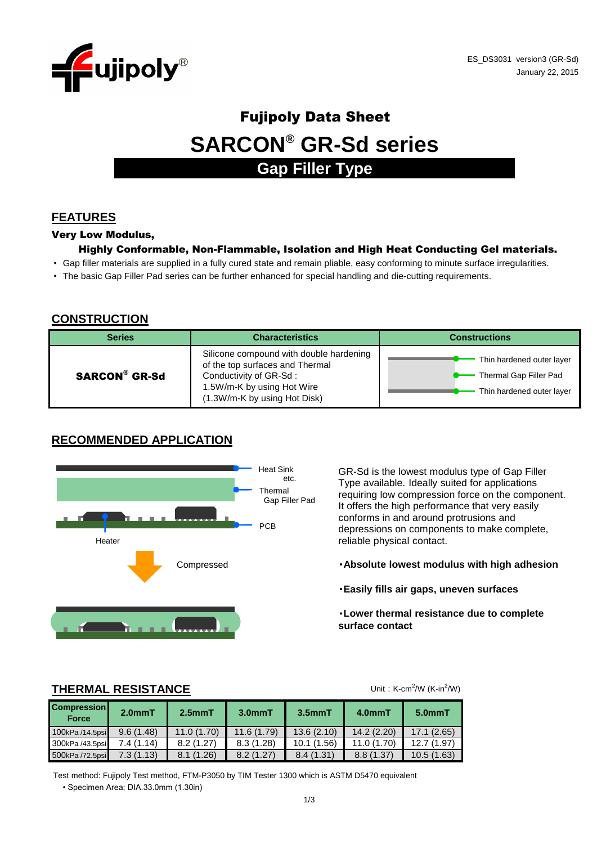

# Fujipoly Data Sheet **SARCON® GR-Sd series Gap Filler Type**

# **FEATURES**

#### Very Low Modulus,

#### Highly Conformable, Non-Flammable, Isolation and High Heat Conducting Gel materials.

- Gap filler materials are supplied in a fully cured state and remain pliable, easy conforming to minute surface irregularities.
- The basic Gap Filler Pad series can be further enhanced for special handling and die-cutting requirements.

### **CONSTRUCTION**

| <b>Series</b>        | <b>Characteristics</b>                                                                                                                                             | <b>Constructions</b>                                                             |
|----------------------|--------------------------------------------------------------------------------------------------------------------------------------------------------------------|----------------------------------------------------------------------------------|
| <b>SARCON® GR-Sd</b> | Silicone compound with double hardening<br>of the top surfaces and Thermal<br>Conductivity of GR-Sd:<br>1.5W/m-K by using Hot Wire<br>(1.3W/m-K by using Hot Disk) | Thin hardened outer layer<br>Thermal Gap Filler Pad<br>Thin hardened outer layer |

# **RECOMMENDED APPLICATION**



GR-Sd is the lowest modulus type of Gap Filler Type available. Ideally suited for applications requiring low compression force on the component. It offers the high performance that very easily conforms in and around protrusions and depressions on components to make complete, reliable physical contact.

- ・**Absolute lowest modulus with high adhesion**
- ・**Easily fills air gaps, uneven surfaces**
- ・**Lower thermal resistance due to complete surface contact**

## **THERMAL RESISTANCE**

Unit:  $K-cm^2/W$  (K-in $^2/W$ )

| <b>Compression</b><br><b>Force</b> | $2.0mm$ T | 2.5mmT     | $3.0mm$ T  | $3.5mm$ T  | 4.0mmT      | $5.0mm$ T  |
|------------------------------------|-----------|------------|------------|------------|-------------|------------|
| 100kPa /14.5psi                    | 9.6(1.48) | 11.0(1.70) | 11.6(1.79) | 13.6(2.10) | 14.2(2.20)  | 17.1(2.65) |
| 300kPa /43.5psi                    | 7.4(1.14) | 8.2(1.27)  | 8.3(1.28)  | 10.1(1.56) | 11.0 (1.70) | 12.7(1.97) |
| 500kPa /72.5psi                    | 7.3(1.13) | 8.1(1.26)  | 8.2(1.27)  | 8.4(1.31)  | 8.8 (1.37)  | 10.5(1.63) |

• Specimen Area; DIA.33.0mm (1.30in) Test method: Fujipoly Test method, FTM-P3050 by TIM Tester 1300 which is ASTM D5470 equivalent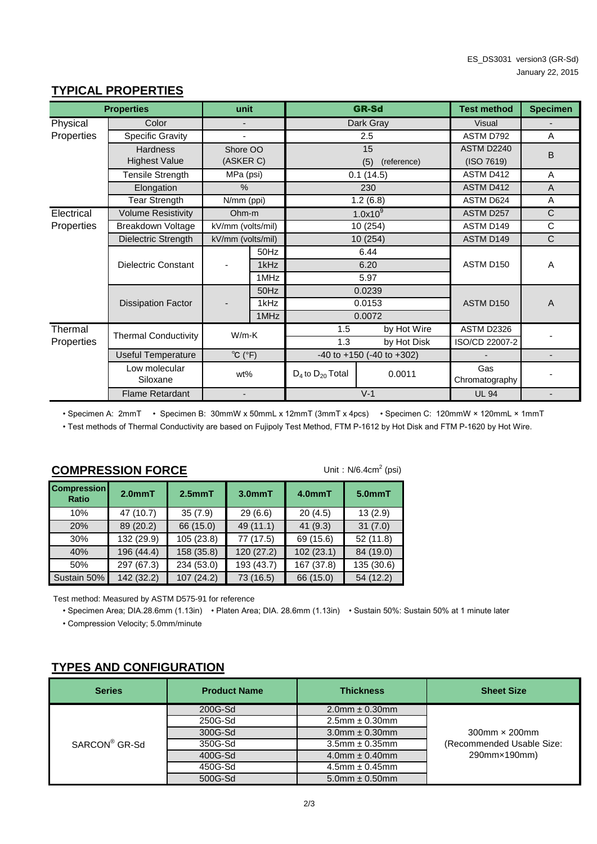| <b>Properties</b> |                             | unit                         |      | <b>GR-Sd</b>                        |              | <b>Test method</b>    | <b>Specimen</b> |
|-------------------|-----------------------------|------------------------------|------|-------------------------------------|--------------|-----------------------|-----------------|
| Physical          | Color                       |                              |      | Dark Gray                           |              | <b>Visual</b>         |                 |
| Properties        | Specific Gravity            |                              |      | 2.5                                 |              | ASTM D792             | A               |
|                   | Hardness                    | Shore OO                     |      |                                     | 15           | ASTM D2240            | B               |
|                   | <b>Highest Value</b>        | (ASKER C)                    |      | (5)<br>(reference)                  |              | (ISO 7619)            |                 |
|                   | <b>Tensile Strength</b>     | 0.1(14.5)<br>MPa (psi)       |      | ASTM D412                           | A            |                       |                 |
|                   | Elongation                  | $\%$                         |      | 230                                 |              | ASTM D412             | $\overline{A}$  |
|                   | <b>Tear Strength</b>        | N/mm (ppi)                   |      |                                     | 1.2(6.8)     | ASTM D624             | A               |
| Electrical        | <b>Volume Resistivity</b>   | Ohm-m                        |      | 1.0x10 <sup>9</sup>                 |              | ASTM D257             | C               |
| Properties        | Breakdown Voltage           | kV/mm (volts/mil)            |      |                                     | 10 (254)     |                       | $\mathsf C$     |
|                   | Dielectric Strength         | kV/mm (volts/mil)            |      |                                     | 10 (254)     |                       | $\mathsf{C}$    |
|                   | <b>Dielectric Constant</b>  |                              | 50Hz |                                     | 6.44         |                       |                 |
|                   |                             |                              | 1kHz |                                     | 6.20         | ASTM D150             | A               |
|                   |                             |                              | 1MHz |                                     | 5.97         |                       |                 |
|                   |                             |                              | 50Hz | 0.0239                              |              |                       |                 |
|                   | <b>Dissipation Factor</b>   |                              | 1kHz | 0.0153                              |              | ASTM D150             | $\overline{A}$  |
|                   |                             |                              | 1MHz |                                     | 0.0072       |                       |                 |
| Thermal           | <b>Thermal Conductivity</b> | $W/m-K$                      |      | 1.5                                 | by Hot Wire  | ASTM D2326            |                 |
| Properties        |                             |                              |      | 1.3                                 | by Hot Disk  | ISO/CD 22007-2        |                 |
|                   | <b>Useful Temperature</b>   | $^{\circ}$ C ( $^{\circ}$ F) |      | $-40$ to $+150$ ( $-40$ to $+302$ ) |              |                       |                 |
|                   | Low molecular<br>Siloxane   | wt%                          |      | $D_4$ to $D_{20}$ Total             | 0.0011       | Gas<br>Chromatography |                 |
|                   | <b>Flame Retardant</b>      | $V-1$                        |      |                                     | <b>UL 94</b> |                       |                 |

# **TYPICAL PROPERTIES**

• Specimen A: 2mmT • Specimen B: 30mmW x 50mmL x 12mmT (3mmT x 4pcs) • Specimen C: 120mmW × 120mmL × 1mmT • Test methods of Thermal Conductivity are based on Fujipoly Test Method, FTM P-1612 by Hot Disk and FTM P-1620 by Hot Wire.

| Unit: $N/6.4cm2$ (psi)<br><b>COMPRESSION FORCE</b> |                     |              |            |            |            |  |  |
|----------------------------------------------------|---------------------|--------------|------------|------------|------------|--|--|
| <b>Compression</b><br><b>Ratio</b>                 | 2.0 <sub>mm</sub> T | $2.5$ mm $T$ | $3.0mm$ T  | 4.0mmT     | $5.0mm$ T  |  |  |
| 10%                                                | 47 (10.7)           | 35(7.9)      | 29(6.6)    | 20(4.5)    | 13(2.9)    |  |  |
| 20%                                                | 89 (20.2)           | 66 (15.0)    | 49 (11.1)  | 41 (9.3)   | 31(7.0)    |  |  |
| 30%                                                | 132 (29.9)          | 105 (23.8)   | 77 (17.5)  | 69 (15.6)  | 52(11.8)   |  |  |
| 40%                                                | 196 (44.4)          | 158 (35.8)   | 120 (27.2) | 102(23.1)  | 84 (19.0)  |  |  |
| 50%                                                | 297 (67.3)          | 234 (53.0)   | 193 (43.7) | 167 (37.8) | 135 (30.6) |  |  |
| Sustain 50%                                        | 142 (32.2)          | 107(24.2)    | 73 (16.5)  | 66 (15.0)  | 54 (12.2)  |  |  |

Test method: Measured by ASTM D575-91 for reference

• Specimen Area; DIA.28.6mm (1.13in) • Platen Area; DIA. 28.6mm (1.13in) • Sustain 50%: Sustain 50% at 1 minute later

• Compression Velocity; 5.0mm/minute

# **TYPES AND CONFIGURATION**

| <b>Series</b>             | <b>Product Name</b> | <b>Thickness</b>       | <b>Sheet Size</b>         |
|---------------------------|---------------------|------------------------|---------------------------|
| SARCON <sup>®</sup> GR-Sd | 200G-Sd             | $2.0$ mm $\pm 0.30$ mm |                           |
|                           | 250G-Sd             | $2.5$ mm $\pm$ 0.30mm  |                           |
|                           | 300G-Sd             | $3.0$ mm $\pm 0.30$ mm | $300$ mm $\times$ 200mm   |
|                           | 350G-Sd             | $3.5$ mm $\pm$ 0.35mm  | (Recommended Usable Size: |
|                           | 400G-Sd             | $4.0$ mm $\pm 0.40$ mm | 290mm×190mm)              |
|                           | 450G-Sd             | $4.5$ mm $\pm 0.45$ mm |                           |
|                           | 500G-Sd             | $5.0$ mm $\pm 0.50$ mm |                           |